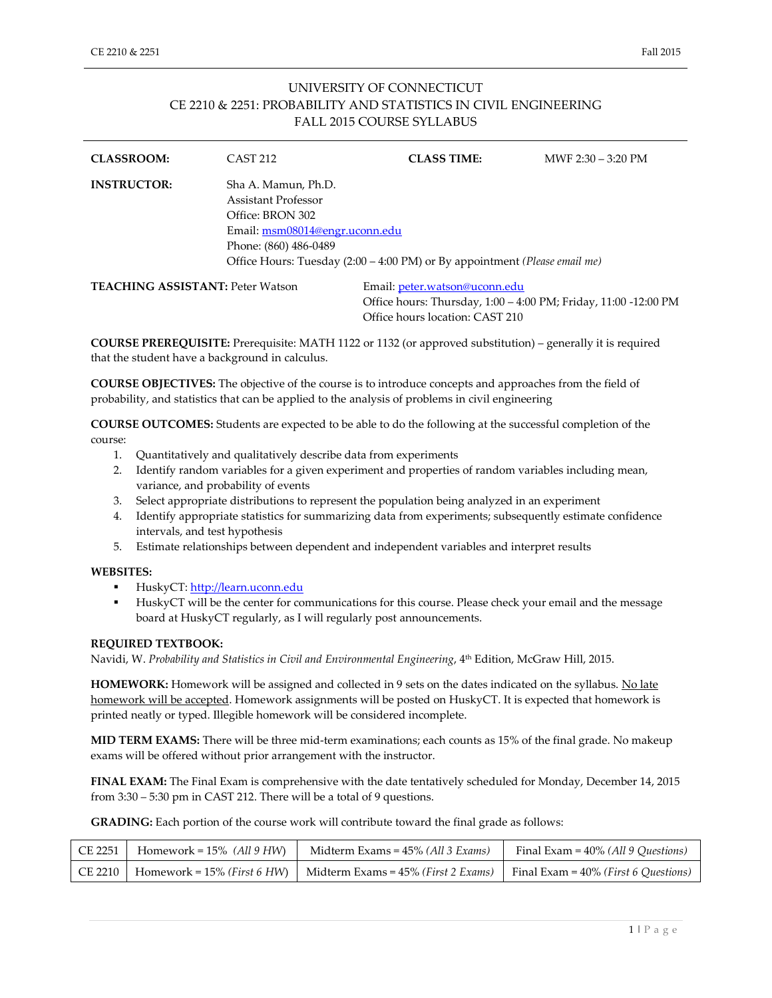## UNIVERSITY OF CONNECTICUT CE 2210 & 2251: PROBABILITY AND STATISTICS IN CIVIL ENGINEERING FALL 2015 COURSE SYLLABUS

| <b>CLASSROOM:</b>                       | <b>CAST 212</b>                                                                                                           | <b>CLASS TIME:</b>                                                         | MWF $2:30 - 3:20$ PM                                                                             |  |  |
|-----------------------------------------|---------------------------------------------------------------------------------------------------------------------------|----------------------------------------------------------------------------|--------------------------------------------------------------------------------------------------|--|--|
| <b>INSTRUCTOR:</b>                      | Sha A. Mamun, Ph.D.<br>Assistant Professor<br>Office: BRON 302<br>Email: msm08014@engr.uconn.edu<br>Phone: (860) 486-0489 | Office Hours: Tuesday (2:00 – 4:00 PM) or By appointment (Please email me) |                                                                                                  |  |  |
| <b>TEACHING ASSISTANT: Peter Watson</b> |                                                                                                                           |                                                                            | Email: peter.watson@uconn.edu<br>Office hours: Thursday, 1:00 - 4:00 PM; Friday, 11:00 -12:00 PM |  |  |

**COURSE PREREQUISITE:** Prerequisite: MATH 1122 or 1132 (or approved substitution) – generally it is required that the student have a background in calculus.

Office hours location: CAST 210

**COURSE OBJECTIVES:** The objective of the course is to introduce concepts and approaches from the field of probability, and statistics that can be applied to the analysis of problems in civil engineering

**COURSE OUTCOMES:** Students are expected to be able to do the following at the successful completion of the course:

- 1. Quantitatively and qualitatively describe data from experiments
- 2. Identify random variables for a given experiment and properties of random variables including mean, variance, and probability of events
- 3. Select appropriate distributions to represent the population being analyzed in an experiment
- 4. Identify appropriate statistics for summarizing data from experiments; subsequently estimate confidence intervals, and test hypothesis
- 5. Estimate relationships between dependent and independent variables and interpret results

## **WEBSITES:**

- HuskyCT: [http://learn.uconn.edu](http://learn.uconn.edu/)
- HuskyCT will be the center for communications for this course. Please check your email and the message board at HuskyCT regularly, as I will regularly post announcements.

## **REQUIRED TEXTBOOK:**

Navidi, W. Probability and Statistics in Civil and Environmental Engineering, 4<sup>th</sup> Edition, McGraw Hill, 2015.

**HOMEWORK:** Homework will be assigned and collected in 9 sets on the dates indicated on the syllabus. No late homework will be accepted. Homework assignments will be posted on HuskyCT. It is expected that homework is printed neatly or typed. Illegible homework will be considered incomplete.

**MID TERM EXAMS:** There will be three mid-term examinations; each counts as 15% of the final grade. No makeup exams will be offered without prior arrangement with the instructor.

**FINAL EXAM:** The Final Exam is comprehensive with the date tentatively scheduled for Monday, December 14, 2015 from 3:30 – 5:30 pm in CAST 212. There will be a total of 9 questions.

**GRADING:** Each portion of the course work will contribute toward the final grade as follows:

| CE 2251   Homework = 15% (All 9 HW) | Midterm Exams = $45\%$ ( <i>All 3 Exams</i> )                                                                                                 | Final Exam = $40\%$ (All 9 Ouestions) |
|-------------------------------------|-----------------------------------------------------------------------------------------------------------------------------------------------|---------------------------------------|
|                                     | CE 2210   Homework = 15% ( <i>First 6 HW</i> )   Midterm Exams = 45% ( <i>First 2 Exams</i> )   Final Exam = 40% ( <i>First 6 Questions</i> ) |                                       |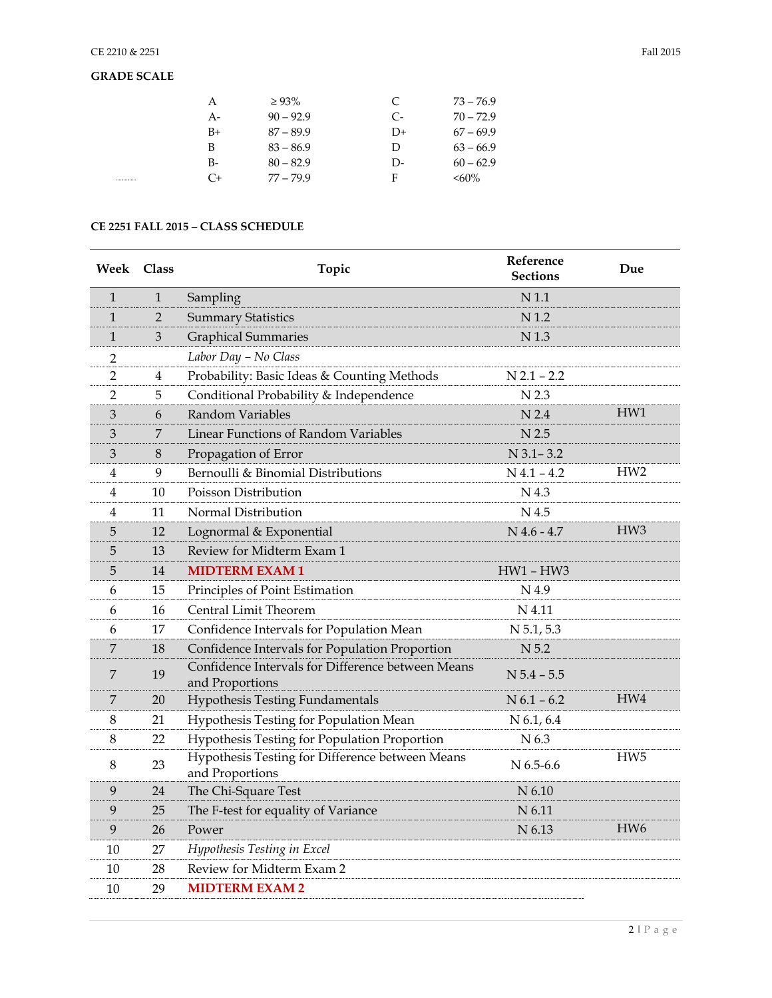| А      | $\geq 93\%$ | C    | $73 - 76.9$ |
|--------|-------------|------|-------------|
| $A-$   | $90 - 92.9$ | $C-$ | $70 - 72.9$ |
| $B+$   | $87 - 89.9$ | $D+$ | $67 - 69.9$ |
| B      | $83 - 86.9$ | D    | $63 - 66.9$ |
| $B-$   | $80 - 82.9$ | D-   | $60 - 62.9$ |
| <br>C+ | $77 - 79.9$ | F    | $< 60\%$    |

## **CE 2251 FALL 2015 – CLASS SCHEDULE**

| Week Class     |                | Topic                                                                | Reference<br><b>Sections</b> | Due             |
|----------------|----------------|----------------------------------------------------------------------|------------------------------|-----------------|
| $\mathbf{1}$   | $\mathbf{1}$   | Sampling                                                             | N <sub>1.1</sub>             |                 |
| $\mathbf{1}$   | $\overline{2}$ | <b>Summary Statistics</b>                                            | N 1.2                        |                 |
| $\mathbf{1}$   | 3              | <b>Graphical Summaries</b>                                           | N <sub>1.3</sub>             |                 |
| 2              |                | Labor Day - No Class                                                 |                              |                 |
| 2              | 4              | Probability: Basic Ideas & Counting Methods                          | $N$ 2.1 - 2.2                |                 |
| $\overline{2}$ | 5              | Conditional Probability & Independence                               | N 2.3                        |                 |
| 3              | 6              | Random Variables                                                     | N <sub>2.4</sub>             | HW1             |
| 3              | 7              | Linear Functions of Random Variables                                 | N <sub>2.5</sub>             |                 |
| 3              | 8              | Propagation of Error                                                 | $N$ 3.1 - 3.2                |                 |
| 4              | 9              | Bernoulli & Binomial Distributions                                   | $N$ 4.1 - 4.2                | HW <sub>2</sub> |
| 4              | 10             | Poisson Distribution                                                 | N 4.3                        |                 |
| 4              | 11             | Normal Distribution                                                  | N 4.5                        |                 |
| 5              | 12             | Lognormal & Exponential                                              | $N$ 4.6 - 4.7                | HW <sub>3</sub> |
| 5              | 13             | Review for Midterm Exam 1                                            |                              |                 |
| 5              | 14             | <b>MIDTERM EXAM1</b>                                                 | $HW1 - HW3$                  |                 |
| 6              | 15             | Principles of Point Estimation                                       | N 4.9                        |                 |
| 6              | 16             | Central Limit Theorem                                                | N 4.11                       |                 |
| 6              | 17             | Confidence Intervals for Population Mean                             | $N$ 5.1, 5.3                 |                 |
| 7              | 18             | Confidence Intervals for Population Proportion                       | N 5.2                        |                 |
| 7              | 19             | Confidence Intervals for Difference between Means<br>and Proportions | $N$ 5.4 - 5.5                |                 |
| 7              | 20             | <b>Hypothesis Testing Fundamentals</b>                               | $N$ 6.1 – 6.2                | HW4             |
| 8              | 21             | Hypothesis Testing for Population Mean                               | N 6.1, 6.4                   |                 |
| 8              | 22             | Hypothesis Testing for Population Proportion                         | N 6.3                        |                 |
| 8              | 23             | Hypothesis Testing for Difference between Means<br>and Proportions   | $N$ 6.5-6.6                  | HW <sub>5</sub> |
| 9              | 24             | The Chi-Square Test                                                  | N 6.10                       |                 |
| 9              | 25             | The F-test for equality of Variance                                  | N 6.11                       |                 |
| 9              | 26             | Power                                                                | N 6.13                       | HW <sub>6</sub> |
| 10             | 27             | Hypothesis Testing in Excel                                          |                              |                 |
| 10             | 28             | Review for Midterm Exam 2                                            |                              |                 |
| 10             | 29             | <b>MIDTERM EXAM2</b>                                                 |                              |                 |